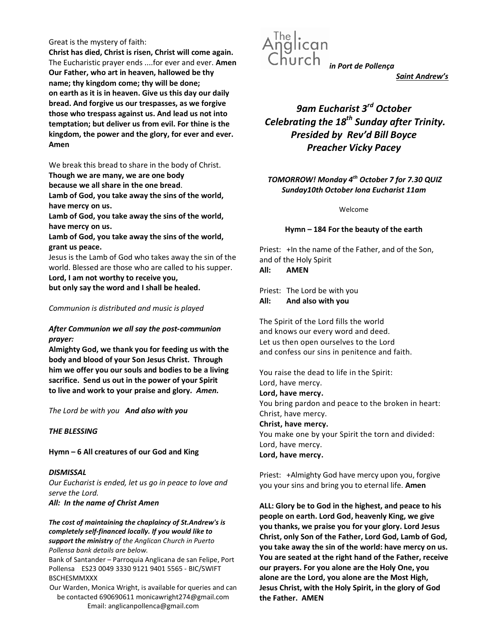#### Great is the mystery of faith:

Christ has died, Christ is risen, Christ will come again. The Eucharistic prayer ends ....for ever and ever. Amen Our Father, who art in heaven, hallowed be thy name; thy kingdom come; thy will be done; on earth as it is in heaven. Give us this day our daily bread. And forgive us our trespasses, as we forgive those who trespass against us. And lead us not into temptation; but deliver us from evil. For thine is the kingdom, the power and the glory, for ever and ever. Amen

We break this bread to share in the body of Christ.

Though we are many, we are one body

because we all share in the one bread.

Lamb of God, you take away the sins of the world, have mercy on us.

Lamb of God, you take away the sins of the world, have mercy on us.

Lamb of God, you take away the sins of the world, grant us peace.

Jesus is the Lamb of God who takes away the sin of the world. Blessed are those who are called to his supper. Lord, I am not worthy to receive you,

but only say the word and I shall be healed.

#### Communion is distributed and music is played

#### After Communion we all say the post-communion prayer:

Almighty God, we thank you for feeding us with the body and blood of your Son Jesus Christ. Through him we offer you our souls and bodies to be a living sacrifice. Send us out in the power of your Spirit to live and work to your praise and glory. Amen.

The Lord be with you And also with you

#### THE BLESSING

Hymn – 6 All creatures of our God and King

**DISMISSAL** Our Eucharist is ended, let us go in peace to love and serve the Lord.

All: In the name of Christ Amen

The cost of maintaining the chaplaincy of St.Andrew's is completely self-financed locally. If you would like to support the ministry of the Anglican Church in Puerto Pollensa bank details are below.

Bank of Santander – Parroquia Anglicana de san Felipe, Port Pollensa ES23 0049 3330 9121 9401 5565 - BIC/SWIFT BSCHESMMXXX

Our Warden, Monica Wright, is available for queries and can be contacted 690690611 monicawright274@gmail.com Email: anglicanpollenca@gmail.com



Saint Andrew's

# 9am Eucharist 3<sup>rd</sup> October Celebrating the  $18^{th}$  Sunday after Trinity. Presided by Rev'd Bill Boyce Preacher Vicky Pacey

### TOMORROW! Monday 4<sup>th</sup> October 7 for 7.30 QUIZ Sunday10th October Iona Eucharist 11am

Welcome

#### Hymn – 184 For the beauty of the earth

Priest: +In the name of the Father, and of the Son, and of the Holy Spirit All: AMEN

Priest: The Lord be with you All: And also with you

The Spirit of the Lord fills the world and knows our every word and deed. Let us then open ourselves to the Lord and confess our sins in penitence and faith.

You raise the dead to life in the Spirit: Lord, have mercy. Lord, have mercy. You bring pardon and peace to the broken in heart: Christ, have mercy. Christ, have mercy. You make one by your Spirit the torn and divided: Lord, have mercy. Lord, have mercy.

Priest: +Almighty God have mercy upon you, forgive you your sins and bring you to eternal life. Amen

ALL: Glory be to God in the highest, and peace to his people on earth. Lord God, heavenly King, we give you thanks, we praise you for your glory. Lord Jesus Christ, only Son of the Father, Lord God, Lamb of God, you take away the sin of the world: have mercy on us. You are seated at the right hand of the Father, receive our prayers. For you alone are the Holy One, you alone are the Lord, you alone are the Most High, Jesus Christ, with the Holy Spirit, in the glory of God the Father. AMEN